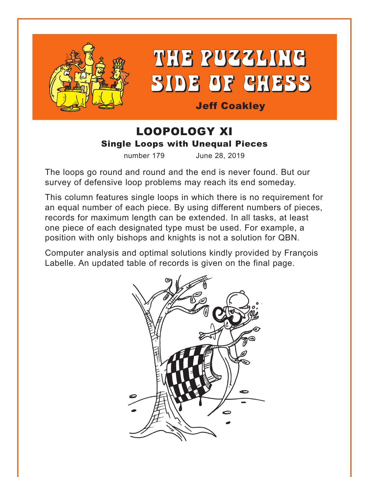



# Jeff Coakley

# LOOPOLOGY XI Single Loops with Unequal Pieces

number 179 June 28, 2019

The loops go round and round and the end is never found. But our survey of defensive loop problems may reach its end someday.

This column features single loops in which there is no requirement for an equal number of each piece. By using different numbers of pieces, records for maximum length can be extended. In all tasks, at least one piece of each designated type must be used. For example, a position with only bishops and knights is not a solution for QBN.

Computer analysis and optimal solutions kindly provided by François Labelle. An updated table of records is given on the final page.

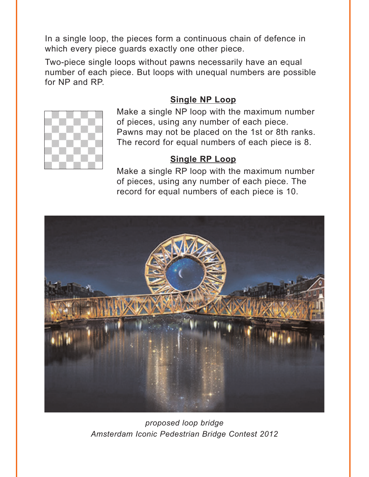<span id="page-1-0"></span>In a single loop, the pieces form a continuous chain of defence in which every piece guards exactly one other piece.

Two-piece single loops without pawns necessarily have an equal number of each piece. But loops with unequal numbers are possible for NP and RP.

# **[Single NP](#page-5-0) Loop**



Make a single NP loop with the maximum number of pieces, using any number of each piece. Pawns may not be placed on the 1st or 8th ranks. The record for equal numbers of each piece is 8.

#### **[Single RP](#page-6-0) Loop**

Make a single RP loop with the maximum number of pieces, using any number of each piece. The record for equal numbers of each piece is 10.



*proposed loop bridge Amsterdam Iconic Pedestrian Bridge Contest 2012*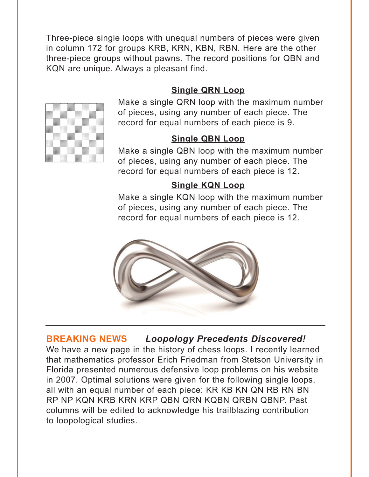<span id="page-2-0"></span>Three-piece single loops with unequal numbers of pieces were given in column 172 for groups KRB, KRN, KBN, RBN. Here are the other three-piece groups without pawns. The record positions for QBN and KQN are unique. Always a pleasant find.

# **[Single QRN Loop](#page-6-0)**



Make a single QRN loop with the maximum number of pieces, using any number of each piece. The record for equal numbers of each piece is 9.

## **[Single QBN Loop](#page-7-0)**

Make a single QBN loop with the maximum number of pieces, using any number of each piece. The record for equal numbers of each piece is 12.

# **[Single KQN Loop](#page-7-0)**

Make a single KQN loop with the maximum number of pieces, using any number of each piece. The record for equal numbers of each piece is 12.



# **BREAKING NEWS** *Loopology Precedents Discovered!*

We have a new page in the history of chess loops. I recently learned that mathematics professor Erich Friedman from Stetson University in Florida presented numerous defensive loop problems on his website in 2007. Optimal solutions were given for the following single loops, all with an equal number of each piece: KR KB KN QN RB RN BN RP NP KQN KRB KRN KRP QBN QRN KQBN QRBN QBNP. Past columns will be edited to acknowledge his trailblazing contribution to loopological studies.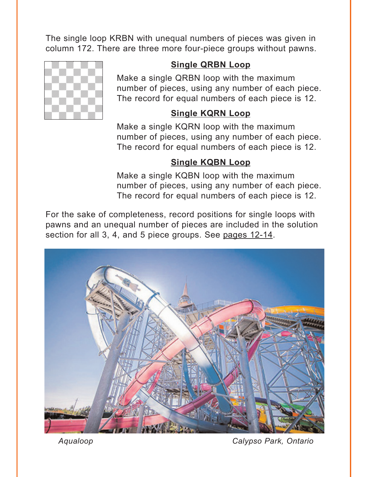<span id="page-3-0"></span>The single loop KRBN with unequal numbers of pieces was given in column 172. There are three more four-piece groups without pawns.



# **[Single QRBN Loop](#page-8-0)**

Make a single QRBN loop with the maximum number of pieces, using any number of each piece. The record for equal numbers of each piece is 12.

# **[Single KQRN Loop](#page-8-0)**

Make a single KQRN loop with the maximum number of pieces, using any number of each piece. The record for equal numbers of each piece is 12.

# **[Single KQBN Loop](#page-9-0)**

Make a single KQBN loop with the maximum number of pieces, using any number of each piece. The record for equal numbers of each piece is 12.

For the sake of completeness, record positions for single loops with pawns and an unequal number of pieces are included in the solution section for all 3, 4, and 5 piece groups. See [pages 12-14.](#page-12-0)



*Aqualoop Calypso Park, Ontario*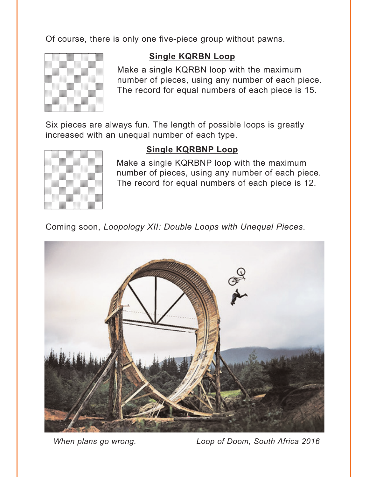<span id="page-4-0"></span>Of course, there is only one five-piece group without pawns.



#### **[Single KQRBN Loop](#page-10-0)**

Make a single KQRBN loop with the maximum number of pieces, using any number of each piece. The record for equal numbers of each piece is 15.

Six pieces are always fun. The length of possible loops is greatly increased with an unequal number of each type.



#### **[Single KQRBNP](#page-11-0) Loop**

Make a single KQRBNP loop with the maximum number of pieces, using any number of each piece. The record for equal numbers of each piece is 12.

Coming soon, *Loopology XII: Double Loops with Unequal Pieces*.



*When plans go wrong. Loop of Doom, South Africa 2016*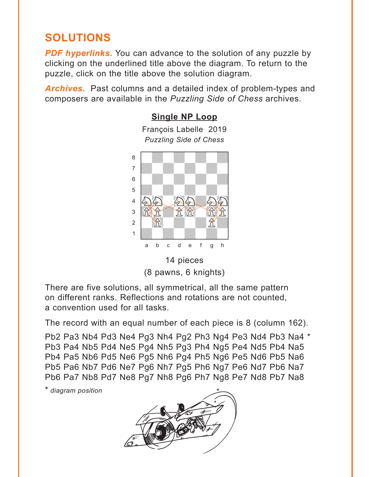# <span id="page-5-0"></span>**SOLUTIONS**

**PDF hyperlinks.** You can advance to the solution of any puzzle by clicking on the underlined title above the diagram. To return to the puzzle, click on the title above the solution diagram.

*Archives***.** Past columns and a detailed index of problem-types and composers are available in the *Puzzling Side of Chess* archives.

**[Single NP](#page-1-0) Loop**



14 pieces (8 pawns, 6 knights)

There are five solutions, all symmetrical, all the same pattern on different ranks. Reflections and rotations are not counted, a convention used for all tasks.

The record with an equal number of each piece is 8 (column 162).

Pb2 Pa3 Nb4 Pd3 Ne4 Pg3 Nh4 Pg2 Ph3 Ng4 Pe3 Nd4 Pb3 Na4 \* Pb3 Pa4 Nb5 Pd4 Ne5 Pg4 Nh5 Pg3 Ph4 Ng5 Pe4 Nd5 Pb4 Na5 Pb4 Pa5 Nb6 Pd5 Ne6 Pg5 Nh6 Pg4 Ph5 Ng6 Pe5 Nd6 Pb5 Na6 Pb5 Pa6 Nb7 Pd6 Ne7 Pg6 Nh7 Pg5 Ph6 Ng7 Pe6 Nd7 Pb6 Na7 Pb6 Pa7 Nb8 Pd7 Ne8 Pg7 Nh8 Pg6 Ph7 Ng8 Pe7 Nd8 Pb7 Na8

\* *diagram position*

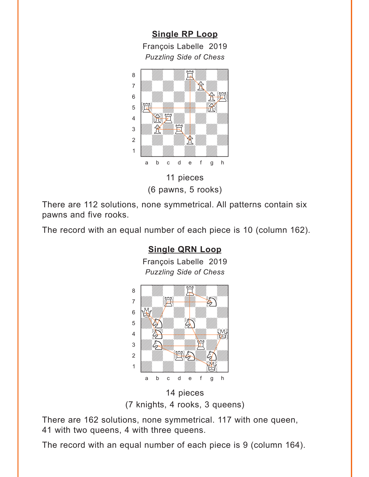**[Single RP](#page-1-0) Loop**

<span id="page-6-0"></span>François Labelle 2019 *Puzzling Side of Chess* where  $\frac{1}{2}$  and  $\frac{1}{2}$  and  $\frac{1}{2}$  and  $\frac{1}{2}$  and  $\frac{1}{2}$  and  $\frac{1}{2}$  and  $\frac{1}{2}$  and  $\frac{1}{2}$  and  $\frac{1}{2}$  and  $\frac{1}{2}$  and  $\frac{1}{2}$  and  $\frac{1}{2}$  and  $\frac{1}{2}$  and  $\frac{1}{2}$  and  $\frac{1}{2}$  and  $\frac{1$ 



(6 pawns, 5 rooks)

There are 112 solutions, none symmetrical. All patterns contain six pawns and five rooks.

The record with an equal number of each piece is 10 (column 162).

# **[Single QRN Loop](#page-2-0)**

François Labelle 2019 *Puzzling Side of Chess* where  $\frac{1}{2}$  and  $\frac{1}{2}$  and  $\frac{1}{2}$  and  $\frac{1}{2}$ 



<sup>14</sup> pieces (7 knights, 4 rooks, 3 queens)

There are 162 solutions, none symmetrical. 117 with one queen, 41 with two queens, 4 with three queens.

The record with an equal number of each piece is 9 (column 164).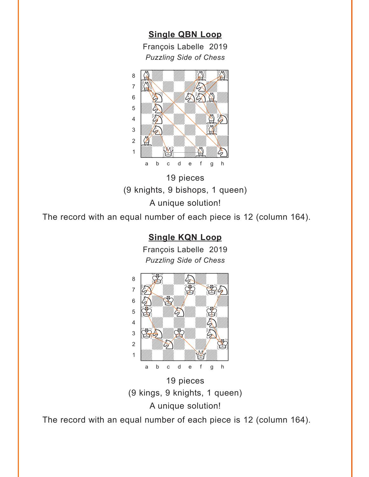# **[Single QBN Loop](#page-2-0)**

François Labelle 2019 *Puzzling Side of Chess*

<span id="page-7-0"></span>

19 pieces (9 knights, 9 bishops, 1 queen) A unique solution!

The record with an equal number of each piece is 12 (column 164).

# **[Single KQN Loop](#page-2-0)**

François Labelle 2019 *Puzzling Side of Chess*



19 pieces (9 kings, 9 knights, 1 queen) A unique solution!

The record with an equal number of each piece is 12 (column 164).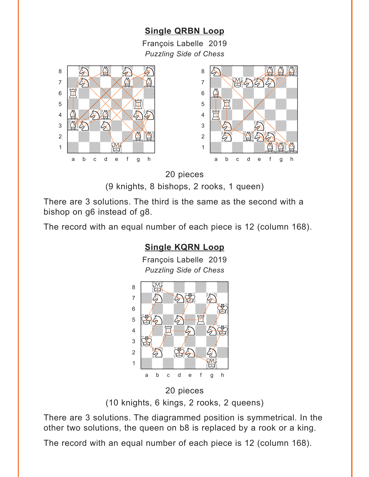# **[Single QRBN Loop](#page-3-0)**

François Labelle 2019 *Puzzling Side of Chess*

<span id="page-8-0"></span>



20 pieces

(9 knights, 8 bishops, 2 rooks, 1 queen)

There are 3 solutions. The third is the same as the second with a bishop on g6 instead of g8.

The record with an equal number of each piece is 12 (column 168).

# **[Single KQRN Loop](#page-3-0)** François Labelle 2019 *Puzzling Side of Chess* w\_\_\_\_\_\_\_\_w  $\begin{picture}(40,40) \put(0,0){\line(1,0){155}} \put(15,0){\line(1,0){155}} \put(15,0){\line(1,0){155}} \put(15,0){\line(1,0){155}} \put(15,0){\line(1,0){155}} \put(15,0){\line(1,0){155}} \put(15,0){\line(1,0){155}} \put(15,0){\line(1,0){155}} \put(15,0){\line(1,0){155}} \put(15,0){\line(1,0){155}} \put(15,0){\line(1,0){155}} \$ T  $\begin{picture}(180,10) \put(0,0){\line(1,0){10}} \put(10,0){\line(1,0){10}} \put(10,0){\line(1,0){10}} \put(10,0){\line(1,0){10}} \put(10,0){\line(1,0){10}} \put(10,0){\line(1,0){10}} \put(10,0){\line(1,0){10}} \put(10,0){\line(1,0){10}} \put(10,0){\line(1,0){10}} \put(10,0){\line(1,0){10}} \put(10,0){\line(1,0){10}} \put(10,0){\line($  $\mathcal{F}=\left\{\left\langle \mathcal{F}_{\mathcal{F}}\right\rangle \left\langle \mathcal{F}_{\mathcal{F}}\right\rangle \left\langle \mathcal{F}_{\mathcal{F}}\right\rangle \left\langle \mathcal{F}_{\mathcal{F}}\right\rangle \left\langle \mathcal{F}_{\mathcal{F}}\right\rangle \left\langle \mathcal{F}_{\mathcal{F}}\right\rangle \left\langle \mathcal{F}_{\mathcal{F}}\right\rangle \left\langle \mathcal{F}_{\mathcal{F}}\right\rangle \left\langle \mathcal{F}_{\mathcal{F}}\right\rangle \left\langle \mathcal{F}_{\mathcal{F}}\right\rangle \left\langle \mathcal{F}_{\$ 4 | *Willia H. William S. R. 20*  $\mathcal{E}$   $\mathcal{E}$   $\mathcal{E}$   $\mathcal{E}$   $\mathcal{E}$   $\mathcal{E}$   $\mathcal{E}$   $\mathcal{E}$   $\mathcal{E}$   $\mathcal{E}$   $\mathcal{E}$   $\mathcal{E}$   $\mathcal{E}$   $\mathcal{E}$   $\mathcal{E}$   $\mathcal{E}$   $\mathcal{E}$   $\mathcal{E}$   $\mathcal{E}$   $\mathcal{E}$   $\mathcal{E}$   $\mathcal{E}$   $\mathcal{E}$   $\mathcal{E}$   $\mathcal{$  $2$   $\frac{1}{2}$ 1 *William William St.* a b c d e f g h

20 pieces (10 knights, 6 kings, 2 rooks, 2 queens)

There are 3 solutions. The diagrammed position is symmetrical. In the other two solutions, the queen on b8 is replaced by a rook or a king.

The record with an equal number of each piece is 12 (column 168).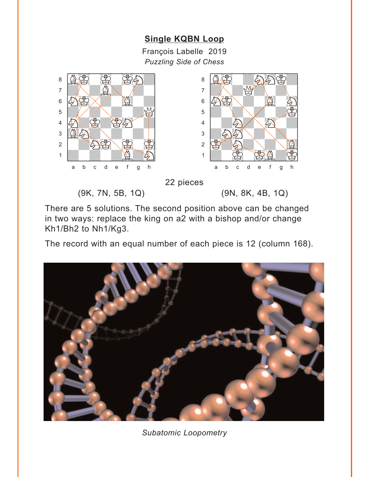# **[Single KQBN Loop](#page-3-0)**

François Labelle 2019 *Puzzling Side of Chess*

<span id="page-9-0"></span>



22 pieces

(9K, 7N, 5B, 1Q) (9N, 8K, 4B, 1Q)

There are 5 solutions. The second position above can be changed in two ways: replace the king on a2 with a bishop and/or change Kh1/Bh2 to Nh1/Kg3.

The record with an equal number of each piece is 12 (column 168).



*Subatomic Loopometry*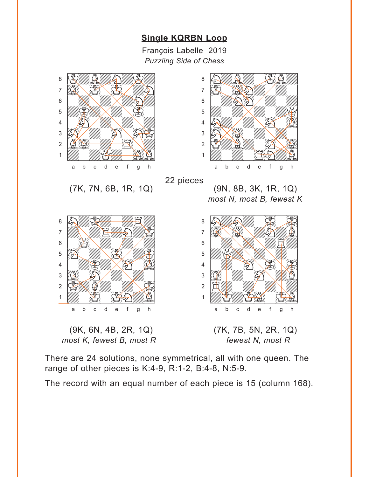# **[Single KQRBN Loop](#page-4-0)**

François Labelle 2019 *Puzzling Side of Chess*

<span id="page-10-0"></span>

There are 24 solutions, none symmetrical, all with one queen. The range of other pieces is K:4-9, R:1-2, B:4-8, N:5-9.

The record with an equal number of each piece is 15 (column 168).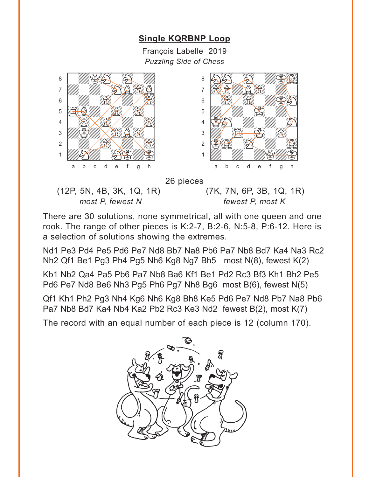# **[Single KQRBNP](#page-4-0) Loop**

François Labelle 2019 *Puzzling Side of Chess*

<span id="page-11-0"></span>



26 pieces

(12P, 5N, 4B, 3K, 1Q, 1R) (7K, 7N, 6P, 3B, 1Q, 1R) *most P, fewest N fewest P, most K*

There are 30 solutions, none symmetrical, all with one queen and one rook. The range of other pieces is K:2-7, B:2-6, N:5-8, P:6-12. Here is a selection of solutions showing the extremes.

Nd1 Pe3 Pd4 Pe5 Pd6 Pe7 Nd8 Bb7 Na8 Pb6 Pa7 Nb8 Bd7 Ka4 Na3 Rc2 Nh2 Qf1 Be1 Pg3 Ph4 Pg5 Nh6 Kg8 Ng7 Bh5 most N(8), fewest K(2)

Kb1 Nb2 Qa4 Pa5 Pb6 Pa7 Nb8 Ba6 Kf1 Be1 Pd2 Rc3 Bf3 Kh1 Bh2 Pe5 Pd6 Pe7 Nd8 Be6 Nh3 Pg5 Ph6 Pg7 Nh8 Bg6 most B(6), fewest N(5)

Qf1 Kh1 Ph2 Pg3 Nh4 Kg6 Nh6 Kg8 Bh8 Ke5 Pd6 Pe7 Nd8 Pb7 Na8 Pb6 Pa7 Nb8 Bd7 Ka4 Nb4 Ka2 Pb2 Rc3 Ke3 Nd2 fewest B(2), most K(7)

The record with an equal number of each piece is 12 (column 170).

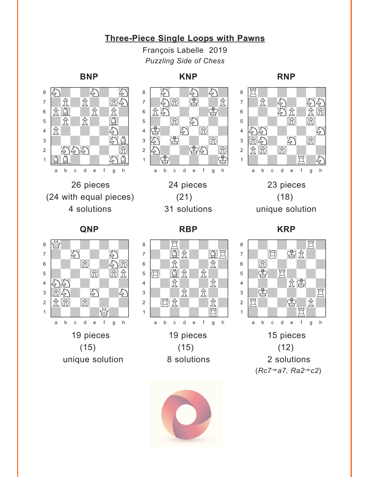## **[Three-Piece Single Loops with Pawns](#page-3-0)**

François Labelle 2019 *Puzzling Side of Chess*

# <span id="page-12-0"></span> $\mathbf{w}$



 $(24 \text{ with equal pieces})$   $(21)$   $(18)$ 

a b c d e f g h

#### **BNP KNP RNP**





**QNP RBP KRP**







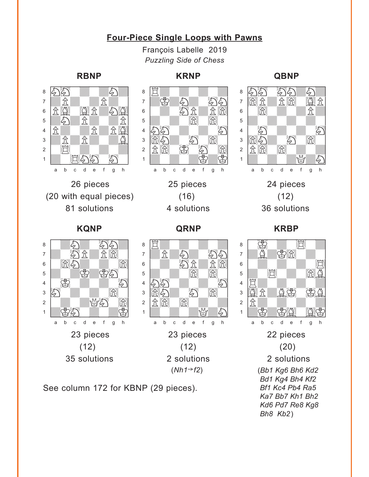# **[Four-Piece Single Loops with Pawns](#page-3-0)**

François Labelle 2019 *Puzzling Side of Chess*



#### **RBNP KRNP QBNP**



See column 172 for KBNP (29 pieces).

*Bd1 Kg4 Bh4 Kf2 Bf1 Kc4 Pb4 Ra5 Ka7 Bb7 Kh1 Bh2 Kd6 Pd7 Re8 Kg8 Bh8 Kb2*)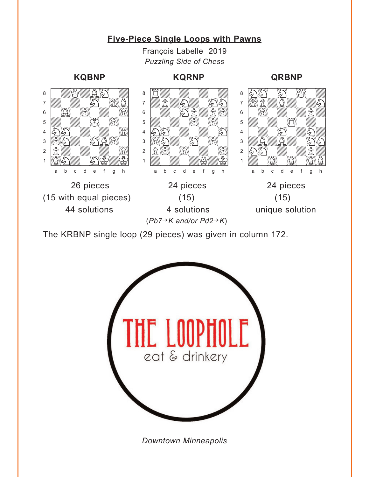# **[Five-Piece Single Loops with Pawns](#page-3-0)**

François Labelle 2019 *Puzzling Side of Chess*

# $\sim$

#### **KQBNP KQRNP QRBNP**

# $\sim$



The KRBNP single loop (29 pieces) was given in column 172.



*Downtown Minneapolis*